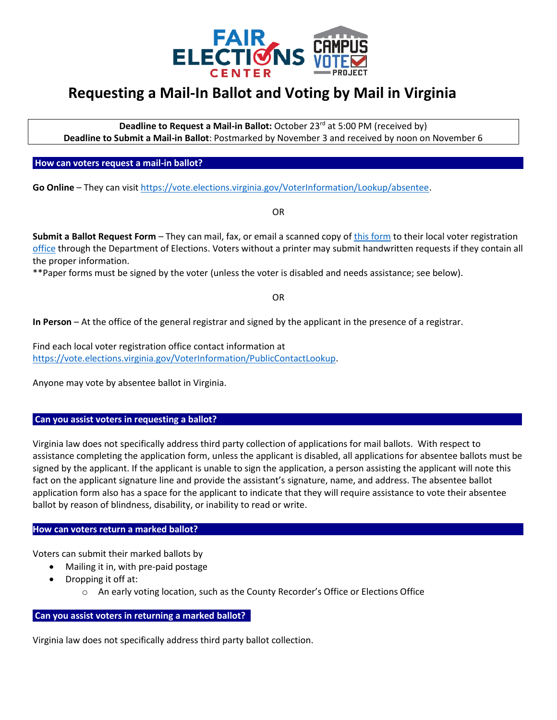

## **Requesting a Mail-In Ballot and Voting by Mail in Virginia**

**Deadline to Request a Mail-in Ballot:** October 23<sup>rd</sup> at 5:00 PM (received by) **Deadline to Submit a Mail-in Ballot**: Postmarked by November 3 and received by noon on November 6

**How can voters request a mail-in ballot?** 

**Go Online** – They can visit [https://vote.elections.virginia.gov/VoterInformation/Lookup/absentee.](https://vote.elections.virginia.gov/VoterInformation/Lookup/absentee)

OR

**Submit a Ballot Request Form** – They can mail, fax, or email a scanned copy of [this form](https://www.elections.virginia.gov/media/castyourballot/SBE-701-703.1.pdf) to their local voter registration [office](https://vote.elections.virginia.gov/VoterInformation/PublicContactLookup) through the Department of Elections. Voters without a printer may submit handwritten requests if they contain all the proper information.

\*\*Paper forms must be signed by the voter (unless the voter is disabled and needs assistance; see below).

OR

**In Person** – At the office of the general registrar and signed by the applicant in the presence of a registrar.

Find each local voter registration office contact information at [https://vote.elections.virginia.gov/VoterInformation/PublicContactLookup.](https://vote.elections.virginia.gov/VoterInformation/PublicContactLookup)

Anyone may vote by absentee ballot in Virginia.

## Can you assist voters in requesting a ballot?

Virginia law does not specifically address third party collection of applications for mail ballots. With respect to assistance completing the application form, unless the applicant is disabled, all applications for absentee ballots must be signed by the applicant. If the applicant is unable to sign the application, a person assisting the applicant will note this fact on the applicant signature line and provide the assistant's signature, name, and address. The absentee ballot application form also has a space for the applicant to indicate that they will require assistance to vote their absentee ballot by reason of blindness, disability, or inability to read or write.

## How can voters return a marked ballot?

Voters can submit their marked ballots by

- Mailing it in, with pre-paid postage
- Dropping it off at:
	- o An early voting location, such as the County Recorder's Office or Elections Office

## **Can you assist voters in returning a marked ballot? .**

Virginia law does not specifically address third party ballot collection.